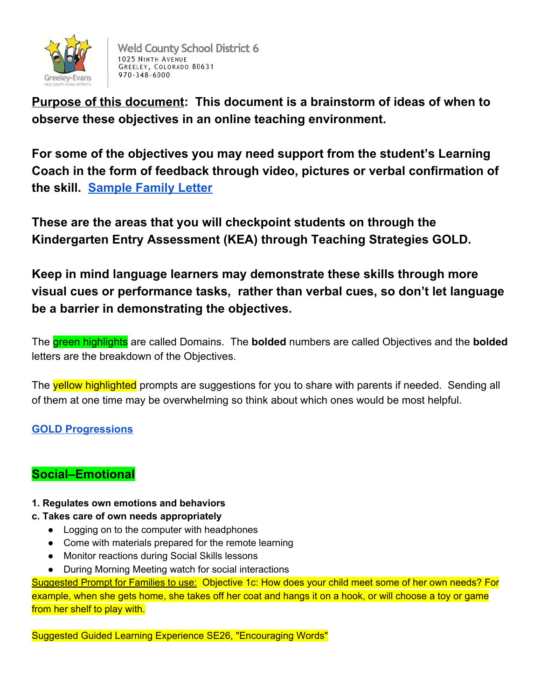

 **Purpose of this document: This document is a brainstorm of ideas of when to observe these objectives in an online teaching environment.**

 **For some of the objectives you may need support from the student's Learning Coach in the form of feedback through video, pictures or verbal confirmation of the skill. Sample Family Letter**

 **These are the areas that you will checkpoint students on through the Kindergarten Entry Assessment (KEA) through Teaching Strategies GOLD.**

 **Keep in mind language learners may demonstrate these skills through more visual cues or performance tasks, rather than verbal cues, so don't let language be a barrier in demonstrating the objectives.**

The green highlights are called Domains. The **bolded** numbers are called Objectives and the **bolded** letters are the breakdown of the Objectives.

The **yellow highlighted** prompts are suggestions for you to share with parents if needed. Sending all of them at one time may be overwhelming so think about which ones would be most helpful.

## **[GOLD Progressions](https://gold.teachingstrategies.com/content/GOLD/helpitems/GOLD_Progressions_EN.pdf)**

# **Social–Emotional**

- **1. Regulates own emotions and behaviors**
- **c. Takes care of own needs appropriately**
	- Logging on to the computer with headphones
	- Come with materials prepared for the remote learning
	- Monitor reactions during Social Skills lessons
	- During Morning Meeting watch for social interactions

 Suggested Prompt for Families to use: Objective 1c: How does your child meet some of her own needs? For example, when she gets home, she takes off her coat and hangs it on a hook, or will choose a toy or game from her shelf to play with.

Suggested Guided Learning Experience SE26, "Encouraging Words"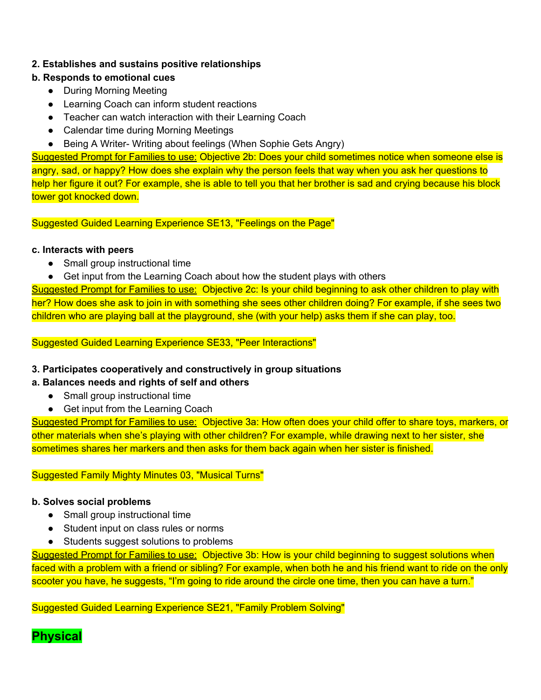## **2. Establishes and sustains positive relationships**

## **b. Responds to emotional cues**

- During Morning Meeting
- Learning Coach can inform student reactions
- Teacher can watch interaction with their Learning Coach
- Calendar time during Morning Meetings
- Being A Writer- Writing about feelings (When Sophie Gets Angry)

 Suggested Prompt for Families to use: Objective 2b: Does your child sometimes notice when someone else is angry, sad, or happy? How does she explain why the person feels that way when you ask her questions to help her figure it out? For example, she is able to tell you that her brother is sad and crying because his block tower got knocked down.

Suggested Guided Learning Experience SE13, "Feelings on the Page"

## **c. Interacts with peers**

- Small group instructional time
- Get input from the Learning Coach about how the student plays with others

 Suggested Prompt for Families to use: Objective 2c: Is your child beginning to ask other children to play with her? How does she ask to join in with something she sees other children doing? For example, if she sees two children who are playing ball at the playground, she (with your help) asks them if she can play, too.

Suggested Guided Learning Experience SE33, "Peer Interactions"

## **3. Participates cooperatively and constructively in group situations**

## **a. Balances needs and rights of self and others**

- Small group instructional time
- Get input from the Learning Coach

 Suggested Prompt for Families to use: Objective 3a: How often does your child offer to share toys, markers, or other materials when she's playing with other children? For example, while drawing next to her sister, she sometimes shares her markers and then asks for them back again when her sister is finished.

Suggested Family Mighty Minutes 03, "Musical Turns"

#### **b. Solves social problems**

- Small group instructional time
- Student input on class rules or norms
- Students suggest solutions to problems

Suggested Prompt for Families to use: Objective 3b: How is your child beginning to suggest solutions when faced with a problem with a friend or sibling? For example, when both he and his friend want to ride on the only scooter you have, he suggests, "I'm going to ride around the circle one time, then you can have a turn."

Suggested Guided Learning Experience SE21, "Family Problem Solving"

**Physical**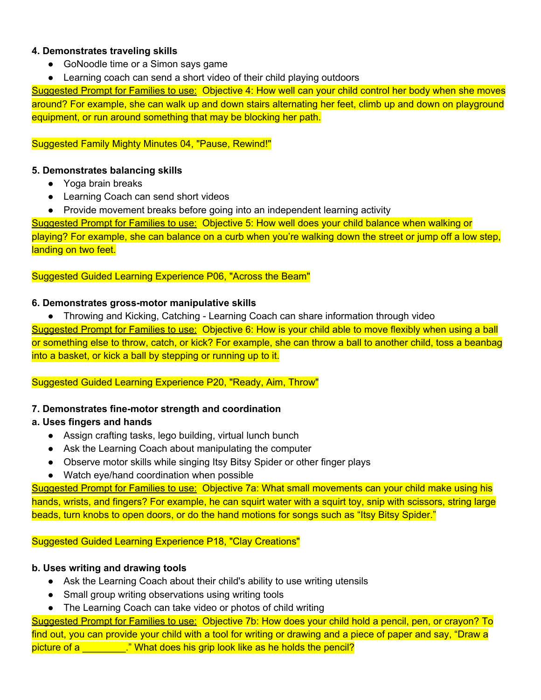## **4. Demonstrates traveling skills**

- GoNoodle time or a Simon says game
- Learning coach can send a short video of their child playing outdoors

Suggested Prompt for Families to use: Objective 4: How well can your child control her body when she moves around? For example, she can walk up and down stairs alternating her feet, climb up and down on playground equipment, or run around something that may be blocking her path.

## Suggested Family Mighty Minutes 04, "Pause, Rewind!"

## **5. Demonstrates balancing skills**

- Yoga brain breaks
- Learning Coach can send short videos
- Provide movement breaks before going into an independent learning activity

 Suggested Prompt for Families to use: Objective 5: How well does your child balance when walking or playing? For example, she can balance on a curb when you're walking down the street or jump off a low step, landing on two feet.

## Suggested Guided Learning Experience P06, "Across the Beam"

## **6. Demonstrates gross-motor manipulative skills**

● Throwing and Kicking, Catching - Learning Coach can share information through video

 Suggested Prompt for Families to use: Objective 6: How is your child able to move flexibly when using a ball or something else to throw, catch, or kick? For example, she can throw a ball to another child, toss a beanbag into a basket, or kick a ball by stepping or running up to it.

Suggested Guided Learning Experience P20, "Ready, Aim, Throw"

## **7. Demonstrates fine-motor strength and coordination**

## **a. Uses fingers and hands**

- Assign crafting tasks, lego building, virtual lunch bunch
- Ask the Learning Coach about manipulating the computer
- Observe motor skills while singing Itsy Bitsy Spider or other finger plays
- Watch eye/hand coordination when possible

 Suggested Prompt for Families to use: Objective 7a: What small movements can your child make using his hands, wrists, and fingers? For example, he can squirt water with a squirt toy, snip with scissors, string large beads, turn knobs to open doors, or do the hand motions for songs such as "Itsy Bitsy Spider."

## Suggested Guided Learning Experience P18, "Clay Creations"

## **b. Uses writing and drawing tools**

- Ask the Learning Coach about their child's ability to use writing utensils
- Small group writing observations using writing tools
- The Learning Coach can take video or photos of child writing

 Suggested Prompt for Families to use: Objective 7b: How does your child hold a pencil, pen, or crayon? To find out, you can provide your child with a tool for writing or drawing and a piece of paper and say, "Draw a picture of a \_\_\_\_\_\_\_\_." What does his grip look like as he holds the pencil?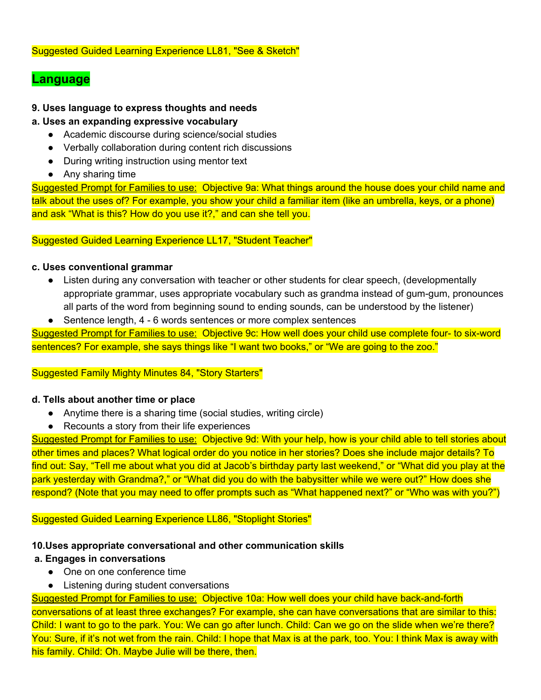## **Language**

## **9. Uses language to express thoughts and needs**

#### **a. Uses an expanding expressive vocabulary**

- Academic discourse during science/social studies
- Verbally collaboration during content rich discussions
- During writing instruction using mentor text
- Any sharing time

Suggested Prompt for Families to use: Objective 9a: What things around the house does your child name and talk about the uses of? For example, you show your child a familiar item (like an umbrella, keys, or a phone) and ask "What is this? How do you use it?," and can she tell you.

Suggested Guided Learning Experience LL17, "Student Teacher"

#### **c. Uses conventional grammar**

- ● Listen during any conversation with teacher or other students for clear speech, (developmentally appropriate grammar, uses appropriate vocabulary such as grandma instead of gum-gum, pronounces all parts of the word from beginning sound to ending sounds, can be understood by the listener)
- Sentence length, 4 6 words sentences or more complex sentences

 Suggested Prompt for Families to use: Objective 9c: How well does your child use complete four- to six-word sentences? For example, she says things like "I want two books," or "We are going to the zoo."

#### Suggested Family Mighty Minutes 84, "Story Starters"

#### **d. Tells about another time or place**

- Anytime there is a sharing time (social studies, writing circle)
- Recounts a story from their life experiences

 Suggested Prompt for Families to use: Objective 9d: With your help, how is your child able to tell stories about other times and places? What logical order do you notice in her stories? Does she include major details? To find out: Say, "Tell me about what you did at Jacob's birthday party last weekend," or "What did you play at the park yesterday with Grandma?," or "What did you do with the babysitter while we were out?" How does she respond? (Note that you may need to offer prompts such as "What happened next?" or "Who was with you?")

#### Suggested Guided Learning Experience LL86, "Stoplight Stories"

## **10.Uses appropriate conversational and other communication skills**

#### **a. Engages in conversations**

- One on one conference time
- Listening during student conversations

 Suggested Prompt for Families to use: Objective 10a: How well does your child have back-and-forth conversations of at least three exchanges? For example, she can have conversations that are similar to this: Child: I want to go to the park. You: We can go after lunch. Child: Can we go on the slide when we're there? You: Sure, if it's not wet from the rain. Child: I hope that Max is at the park, too. You: I think Max is away with his family. Child: Oh. Maybe Julie will be there, then.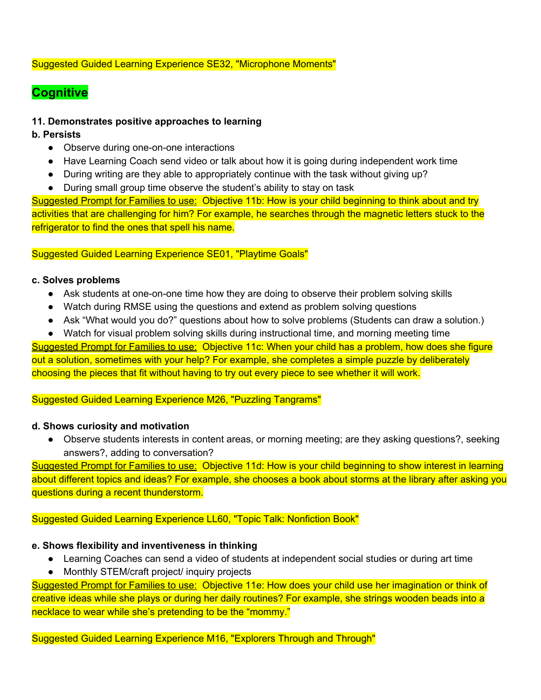## Suggested Guided Learning Experience SE32, "Microphone Moments"

# **Cognitive**

## **11. Demonstrates positive approaches to learning**

## **b. Persists**

- Observe during one-on-one interactions
- Have Learning Coach send video or talk about how it is going during independent work time
- During writing are they able to appropriately continue with the task without giving up?
- During small group time observe the student's ability to stay on task

 Suggested Prompt for Families to use: Objective 11b: How is your child beginning to think about and try activities that are challenging for him? For example, he searches through the magnetic letters stuck to the refrigerator to find the ones that spell his name.

#### Suggested Guided Learning Experience SE01, "Playtime Goals"

#### **c. Solves problems**

- Ask students at one-on-one time how they are doing to observe their problem solving skills
- Watch during RMSE using the questions and extend as problem solving questions
- Ask "What would you do?" questions about how to solve problems (Students can draw a solution.)
- Watch for visual problem solving skills during instructional time, and morning meeting time

 Suggested Prompt for Families to use: Objective 11c: When your child has a problem, how does she figure out a solution, sometimes with your help? For example, she completes a simple puzzle by deliberately choosing the pieces that fit without having to try out every piece to see whether it will work.

#### Suggested Guided Learning Experience M26, "Puzzling Tangrams"

#### **d. Shows curiosity and motivation**

 ● Observe students interests in content areas, or morning meeting; are they asking questions?, seeking answers?, adding to conversation?

Suggested Prompt for Families to use: Objective 11d: How is your child beginning to show interest in learning about different topics and ideas? For example, she chooses a book about storms at the library after asking you questions during a recent thunderstorm.

#### Suggested Guided Learning Experience LL60, "Topic Talk: Nonfiction Book"

#### **e. Shows flexibility and inventiveness in thinking**

- Learning Coaches can send a video of students at independent social studies or during art time
- Monthly STEM/craft project/ inquiry projects

 Suggested Prompt for Families to use: Objective 11e: How does your child use her imagination or think of creative ideas while she plays or during her daily routines? For example, she strings wooden beads into a necklace to wear while she's pretending to be the "mommy."

Suggested Guided Learning Experience M16, "Explorers Through and Through"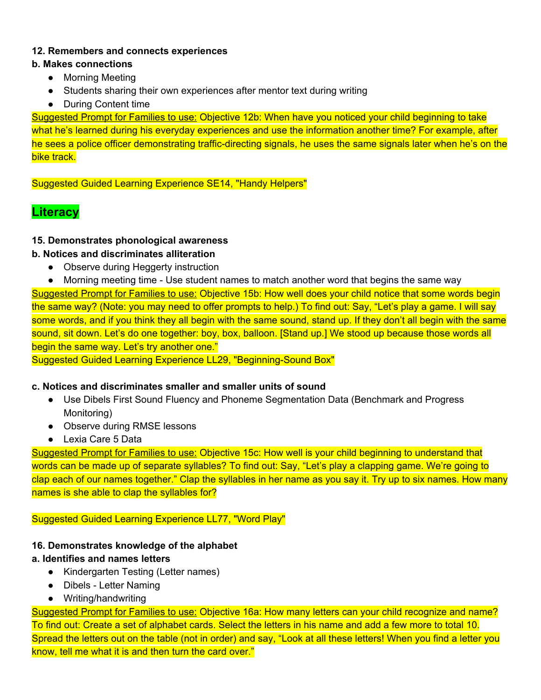## **12. Remembers and connects experiences**

## **b. Makes connections**

- Morning Meeting
- Students sharing their own experiences after mentor text during writing
- During Content time

 Suggested Prompt for Families to use: Objective 12b: When have you noticed your child beginning to take what he's learned during his everyday experiences and use the information another time? For example, after he sees a police officer demonstrating traffic-directing signals, he uses the same signals later when he's on the bike track.

Suggested Guided Learning Experience SE14, "Handy Helpers"

# **Literacy**

## **15. Demonstrates phonological awareness**

## **b. Notices and discriminates alliteration**

- Observe during Heggerty instruction
- Morning meeting time Use student names to match another word that begins the same way

 Suggested Prompt for Families to use: Objective 15b: How well does your child notice that some words begin the same way? (Note: you may need to offer prompts to help.) To find out: Say, "Let's play a game. I will say some words, and if you think they all begin with the same sound, stand up. If they don't all begin with the same sound, sit down. Let's do one together: boy, box, balloon. [Stand up.] We stood up because those words all begin the same way. Let's try another one."

Suggested Guided Learning Experience LL29, "Beginning-Sound Box"

#### **c. Notices and discriminates smaller and smaller units of sound**

- ● Use Dibels First Sound Fluency and Phoneme Segmentation Data (Benchmark and Progress Monitoring)
- Observe during RMSE lessons
- Lexia Care 5 Data

 Suggested Prompt for Families to use: Objective 15c: How well is your child beginning to understand that words can be made up of separate syllables? To find out: Say, "Let's play a clapping game. We're going to clap each of our names together." Clap the syllables in her name as you say it. Try up to six names. How many names is she able to clap the syllables for?

#### Suggested Guided Learning Experience LL77, "Word Play"

## **16. Demonstrates knowledge of the alphabet**

## **a. Identifies and names letters**

- Kindergarten Testing (Letter names)
- Dibels Letter Naming
- Writing/handwriting

 Suggested Prompt for Families to use: Objective 16a: How many letters can your child recognize and name? To find out: Create a set of alphabet cards. Select the letters in his name and add a few more to total 10. Spread the letters out on the table (not in order) and say, "Look at all these letters! When you find a letter you know, tell me what it is and then turn the card over."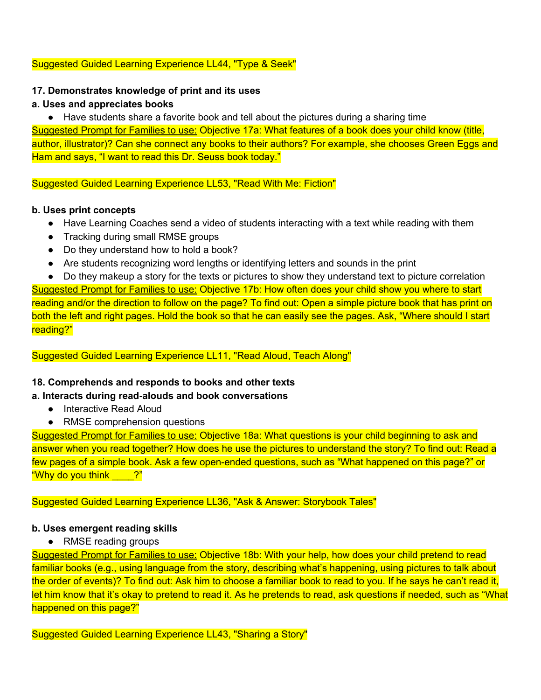#### Suggested Guided Learning Experience LL44, "Type & Seek"

## **17. Demonstrates knowledge of print and its uses**

## **a. Uses and appreciates books**

 ● Have students share a favorite book and tell about the pictures during a sharing time Suggested Prompt for Families to use: Objective 17a: What features of a book does your child know (title, author, illustrator)? Can she connect any books to their authors? For example, she chooses Green Eggs and Ham and says, "I want to read this Dr. Seuss book today."

Suggested Guided Learning Experience LL53, "Read With Me: Fiction"

## **b. Uses print concepts**

- Have Learning Coaches send a video of students interacting with a text while reading with them
- Tracking during small RMSE groups
- Do they understand how to hold a book?
- Are students recognizing word lengths or identifying letters and sounds in the print
- Do they makeup a story for the texts or pictures to show they understand text to picture correlation

 Suggested Prompt for Families to use: Objective 17b: How often does your child show you where to start reading and/or the direction to follow on the page? To find out: Open a simple picture book that has print on both the left and right pages. Hold the book so that he can easily see the pages. Ask, "Where should I start reading?"

## Suggested Guided Learning Experience LL11, "Read Aloud, Teach Along"

## **18. Comprehends and responds to books and other texts**

## **a. Interacts during read-alouds and book conversations**

- Interactive Read Aloud
- RMSE comprehension questions

 Suggested Prompt for Families to use: Objective 18a: What questions is your child beginning to ask and answer when you read together? How does he use the pictures to understand the story? To find out: Read a few pages of a simple book. Ask a few open-ended questions, such as "What happened on this page?" or "Why do you think \_\_\_\_?"

## Suggested Guided Learning Experience LL36, "Ask & Answer: Storybook Tales"

#### **b. Uses emergent reading skills**

● RMSE reading groups

 Suggested Prompt for Families to use: Objective 18b: With your help, how does your child pretend to read familiar books (e.g., using language from the story, describing what's happening, using pictures to talk about the order of events)? To find out: Ask him to choose a familiar book to read to you. If he says he can't read it, let him know that it's okay to pretend to read it. As he pretends to read, ask questions if needed, such as "What happened on this page?"

Suggested Guided Learning Experience LL43, "Sharing a Story"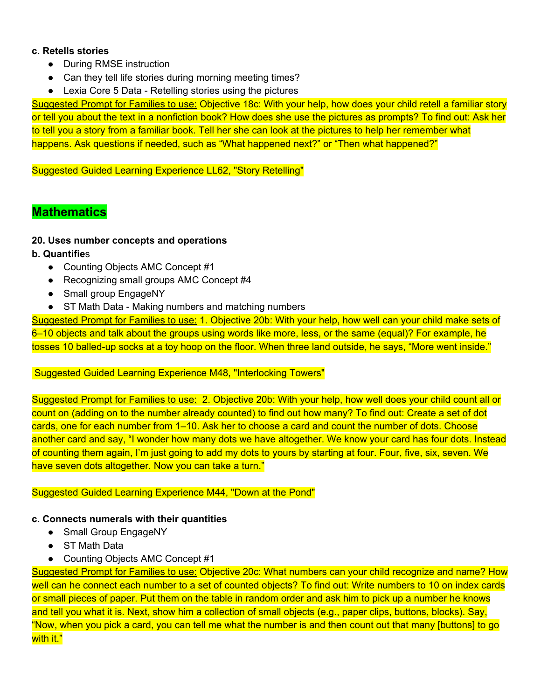#### **c. Retells stories**

- During RMSE instruction
- Can they tell life stories during morning meeting times?
- Lexia Core 5 Data Retelling stories using the pictures

 Suggested Prompt for Families to use: Objective 18c: With your help, how does your child retell a familiar story or tell you about the text in a nonfiction book? How does she use the pictures as prompts? To find out: Ask her to tell you a story from a familiar book. Tell her she can look at the pictures to help her remember what happens. Ask questions if needed, such as "What happened next?" or "Then what happened?"

Suggested Guided Learning Experience LL62, "Story Retelling"

## **Mathematics**

## **20. Uses number concepts and operations**

- **b. Quantifie**s
	- Counting Objects AMC Concept #1
	- Recognizing small groups AMC Concept #4
	- Small group EngageNY
	- ST Math Data Making numbers and matching numbers

 Suggested Prompt for Families to use: 1. Objective 20b: With your help, how well can your child make sets of 6–10 objects and talk about the groups using words like more, less, or the same (equal)? For example, he tosses 10 balled-up socks at a toy hoop on the floor. When three land outside, he says, "More went inside."

#### Suggested Guided Learning Experience M48, "Interlocking Towers"

 Suggested Prompt for Families to use: 2. Objective 20b: With your help, how well does your child count all or count on (adding on to the number already counted) to find out how many? To find out: Create a set of dot cards, one for each number from 1–10. Ask her to choose a card and count the number of dots. Choose another card and say, "I wonder how many dots we have altogether. We know your card has four dots. Instead of counting them again, I'm just going to add my dots to yours by starting at four. Four, five, six, seven. We have seven dots altogether. Now you can take a turn."

#### Suggested Guided Learning Experience M44, "Down at the Pond"

#### **c. Connects numerals with their quantities**

- Small Group EngageNY
- ST Math Data
- Counting Objects AMC Concept #1

 Suggested Prompt for Families to use: Objective 20c: What numbers can your child recognize and name? How well can he connect each number to a set of counted objects? To find out: Write numbers to 10 on index cards or small pieces of paper. Put them on the table in random order and ask him to pick up a number he knows and tell you what it is. Next, show him a collection of small objects (e.g., paper clips, buttons, blocks). Say, "Now, when you pick a card, you can tell me what the number is and then count out that many [buttons] to go with it."